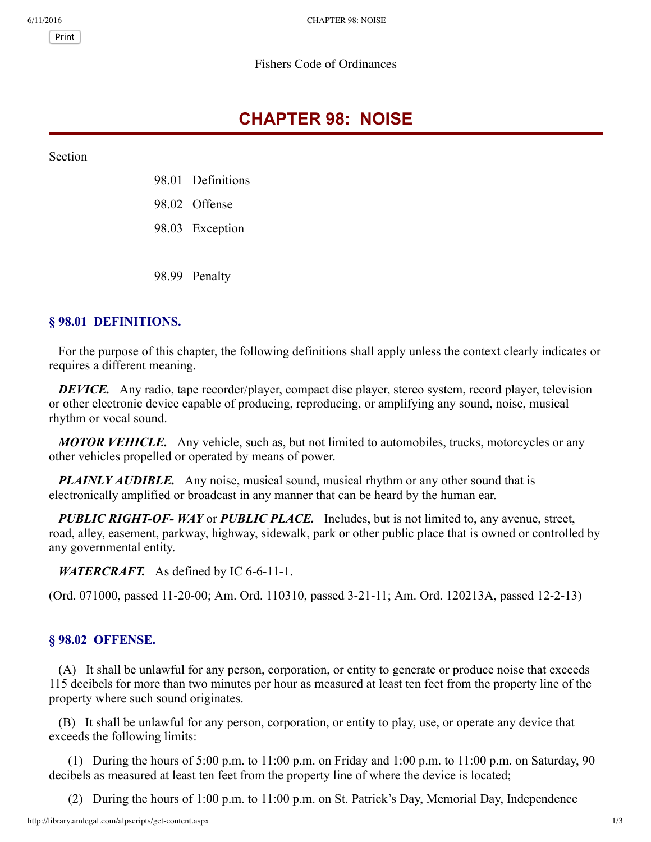Print

#### Fishers Code of Ordinances

# **CHAPTER 98: NOISE**

Section

- 98.01 Definitions
- 98.02 Offense
- 98.03 Exception

98.99 Penalty

## **§ 98.01 DEFINITIONS.**

For the purpose of this chapter, the following definitions shall apply unless the context clearly indicates or requires a different meaning.

*DEVICE.* Any radio, tape recorder/player, compact disc player, stereo system, record player, television or other electronic device capable of producing, reproducing, or amplifying any sound, noise, musical rhythm or vocal sound.

*MOTOR VEHICLE.* Any vehicle, such as, but not limited to automobiles, trucks, motorcycles or any other vehicles propelled or operated by means of power.

*PLAINLY AUDIBLE.* Any noise, musical sound, musical rhythm or any other sound that is electronically amplified or broadcast in any manner that can be heard by the human ear.

*PUBLIC RIGHTOF WAY* or *PUBLIC PLACE.* Includes, but is not limited to, any avenue, street, road, alley, easement, parkway, highway, sidewalk, park or other public place that is owned or controlled by any governmental entity.

*WATERCRAFT.* As defined by IC 6-6-11-1.

(Ord. 071000, passed 11-20-00; Am. Ord. 110310, passed 3-21-11; Am. Ord. 120213A, passed 12-2-13)

### **§ 98.02 OFFENSE.**

(A) It shall be unlawful for any person, corporation, or entity to generate or produce noise that exceeds 115 decibels for more than two minutes per hour as measured at least ten feet from the property line of the property where such sound originates.

(B) It shall be unlawful for any person, corporation, or entity to play, use, or operate any device that exceeds the following limits:

(1) During the hours of  $5:00$  p.m. to  $11:00$  p.m. on Friday and  $1:00$  p.m. to  $11:00$  p.m. on Saturday, 90 decibels as measured at least ten feet from the property line of where the device is located;

(2) During the hours of 1:00 p.m. to 11:00 p.m. on St. Patrick's Day, Memorial Day, Independence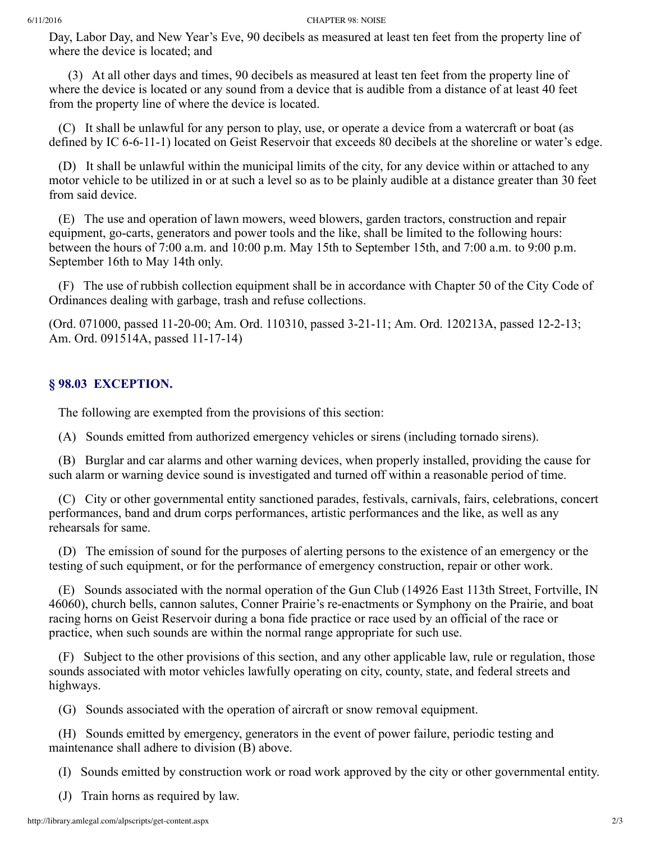#### 6/11/2016 CHAPTER 98: NOISE

Day, Labor Day, and New Year's Eve, 90 decibels as measured at least ten feet from the property line of where the device is located; and

(3) At all other days and times, 90 decibels as measured at least ten feet from the property line of where the device is located or any sound from a device that is audible from a distance of at least 40 feet from the property line of where the device is located.

(C) It shall be unlawful for any person to play, use, or operate a device from a watercraft or boat (as defined by IC 6-6-11-1) located on Geist Reservoir that exceeds 80 decibels at the shoreline or water's edge.

(D) It shall be unlawful within the municipal limits of the city, for any device within or attached to any motor vehicle to be utilized in or at such a level so as to be plainly audible at a distance greater than 30 feet from said device.

(E) The use and operation of lawn mowers, weed blowers, garden tractors, construction and repair equipment, go-carts, generators and power tools and the like, shall be limited to the following hours: between the hours of 7:00 a.m. and 10:00 p.m. May 15th to September 15th, and 7:00 a.m. to 9:00 p.m. September 16th to May 14th only.

(F) The use of rubbish collection equipment shall be in accordance with Chapter 50 of the City Code of Ordinances dealing with garbage, trash and refuse collections.

(Ord. 071000, passed 11-20-00; Am. Ord. 110310, passed 3-21-11; Am. Ord. 120213A, passed 12-2-13; Am. Ord. 091514A, passed 11-17-14)

### **§ 98.03 EXCEPTION.**

The following are exempted from the provisions of this section:

(A) Sounds emitted from authorized emergency vehicles or sirens (including tornado sirens).

(B) Burglar and car alarms and other warning devices, when properly installed, providing the cause for such alarm or warning device sound is investigated and turned off within a reasonable period of time.

(C) City or other governmental entity sanctioned parades, festivals, carnivals, fairs, celebrations, concert performances, band and drum corps performances, artistic performances and the like, as well as any rehearsals for same.

(D) The emission of sound for the purposes of alerting persons to the existence of an emergency or the testing of such equipment, or for the performance of emergency construction, repair or other work.

(E) Sounds associated with the normal operation of the Gun Club (14926 East 113th Street, Fortville, IN 46060), church bells, cannon salutes, Conner Prairie's re-enactments or Symphony on the Prairie, and boat racing horns on Geist Reservoir during a bona fide practice or race used by an official of the race or practice, when such sounds are within the normal range appropriate for such use.

(F) Subject to the other provisions of this section, and any other applicable law, rule or regulation, those sounds associated with motor vehicles lawfully operating on city, county, state, and federal streets and highways.

(G) Sounds associated with the operation of aircraft or snow removal equipment.

(H) Sounds emitted by emergency, generators in the event of power failure, periodic testing and maintenance shall adhere to division (B) above.

(I) Sounds emitted by construction work or road work approved by the city or other governmental entity.

(J) Train horns as required by law.